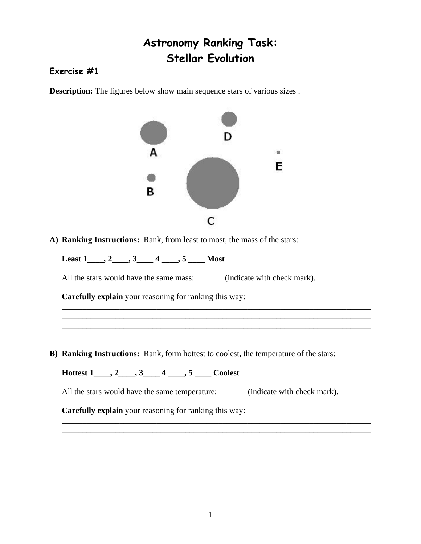## **Astronomy Ranking Task: Stellar Evolution**

## **Exercise #1**

**Description:** The figures below show main sequence stars of various sizes.



\_\_\_\_\_\_\_\_\_\_\_\_\_\_\_\_\_\_\_\_\_\_\_\_\_\_\_\_\_\_\_\_\_\_\_\_\_\_\_\_\_\_\_\_\_\_\_\_\_\_\_\_\_\_\_\_\_\_\_\_\_\_\_\_\_\_\_\_\_\_\_\_\_\_\_ \_\_\_\_\_\_\_\_\_\_\_\_\_\_\_\_\_\_\_\_\_\_\_\_\_\_\_\_\_\_\_\_\_\_\_\_\_\_\_\_\_\_\_\_\_\_\_\_\_\_\_\_\_\_\_\_\_\_\_\_\_\_\_\_\_\_\_\_\_\_\_\_\_\_\_ \_\_\_\_\_\_\_\_\_\_\_\_\_\_\_\_\_\_\_\_\_\_\_\_\_\_\_\_\_\_\_\_\_\_\_\_\_\_\_\_\_\_\_\_\_\_\_\_\_\_\_\_\_\_\_\_\_\_\_\_\_\_\_\_\_\_\_\_\_\_\_\_\_\_\_

**A) Ranking Instructions:** Rank, from least to most, the mass of the stars:

**Least 1\_\_\_\_, 2\_\_\_\_, 3\_\_\_\_ 4 \_\_\_\_, 5 \_\_\_\_ Most** 

All the stars would have the same mass: \_\_\_\_\_\_\_ (indicate with check mark).

**Carefully explain** your reasoning for ranking this way:

**B) Ranking Instructions:** Rank, form hottest to coolest, the temperature of the stars:

**Hottest 1\_\_\_\_, 2\_\_\_\_, 3\_\_\_\_ 4 \_\_\_\_, 5 \_\_\_\_ Coolest** 

All the stars would have the same temperature: \_\_\_\_\_\_\_ (indicate with check mark).

\_\_\_\_\_\_\_\_\_\_\_\_\_\_\_\_\_\_\_\_\_\_\_\_\_\_\_\_\_\_\_\_\_\_\_\_\_\_\_\_\_\_\_\_\_\_\_\_\_\_\_\_\_\_\_\_\_\_\_\_\_\_\_\_\_\_\_\_\_\_\_\_\_\_\_ \_\_\_\_\_\_\_\_\_\_\_\_\_\_\_\_\_\_\_\_\_\_\_\_\_\_\_\_\_\_\_\_\_\_\_\_\_\_\_\_\_\_\_\_\_\_\_\_\_\_\_\_\_\_\_\_\_\_\_\_\_\_\_\_\_\_\_\_\_\_\_\_\_\_\_ \_\_\_\_\_\_\_\_\_\_\_\_\_\_\_\_\_\_\_\_\_\_\_\_\_\_\_\_\_\_\_\_\_\_\_\_\_\_\_\_\_\_\_\_\_\_\_\_\_\_\_\_\_\_\_\_\_\_\_\_\_\_\_\_\_\_\_\_\_\_\_\_\_\_\_

**Carefully explain** your reasoning for ranking this way: